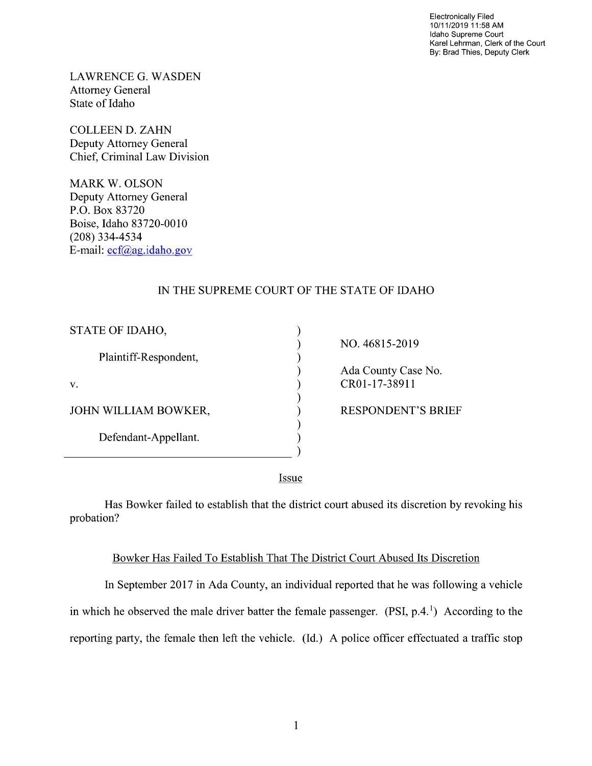Electronically Filed 10/11/2019 11:58 AM Idaho Supreme Court Karel Lehrman, Clerk of the Court By: Brad Thies, Deputy Clerk

LAWRENCE G. WASDEN Attorney General State of Idaho

COLLEEN D. ZAHN Deputy Attorney General Chief, Criminal Law Division

MARK W. OLSON Deputy Attorney General P.O. Box 83720 Boise, Idaho 83720-0010 (208) 334—4534 E—mail: ecf@ag.idah0.g0v

 $\overline{a}$ 

## IN THE SUPREME COURT OF THE STATE OF IDAHO

| STATE OF IDAHO,       |  |
|-----------------------|--|
| Plaintiff-Respondent, |  |
| V.                    |  |
| JOHN WILLIAM BOWKER,  |  |
| Defendant-Appellant.  |  |
|                       |  |

NO. 46815-2019 Ada County Case No.  $\Gamma$  CR01-17-38911 ) RESPONDENT'S BRIEF

Issue

Has Bowker failed to establish that the district court abused its discretion by revoking his probation?

## Bowker Has Failed T0 Establish That The District Court Abused Its Discretion

In September 2017 in Ada County, an individual reported that he was following a vehicle in which he observed the male driver batter the female passenger.  $(PSI, p.4.1)$  According to the reporting party, the female then left the vehicle. (Id.) A police officer effectuated a traffic stop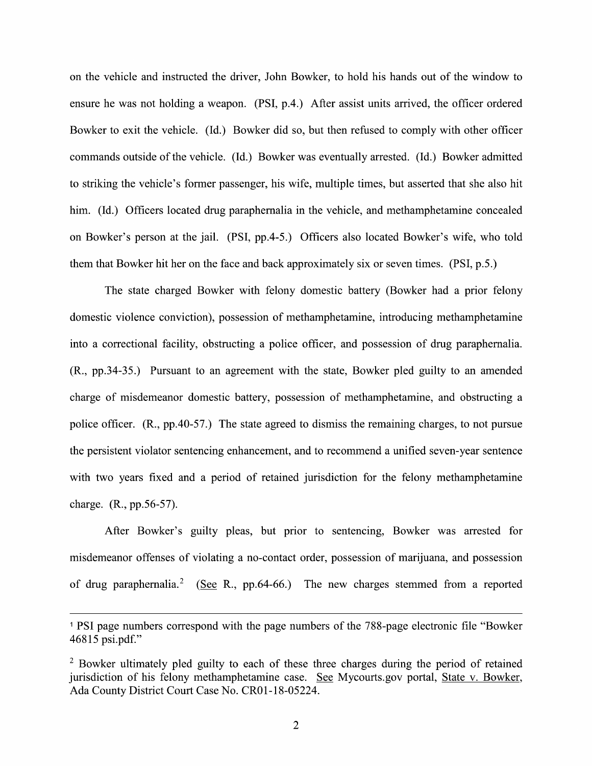on the vehicle and instructed the driver, John Bowker, to hold his hands out of the window to ensure he was not holding a weapon. (PSI, p.4.) After assist units arrived, the officer ordered Bowker to exit the vehicle. (Id.) Bowker did so, but then refused to comply With other officer commands outside 0f the vehicle. (Id.) Bowker was eventually arrested. (Id.) Bowker admitted to striking the vehicle's former passenger, his wife, multiple times, but asserted that she also hit him. (Id.) Officers located drug paraphernalia in the vehicle, and methamphetamine concealed 0n Bowker's person at the jail. (PSI, pp.4-5.) Officers also located Bowker's wife, who told them that Bowker hit her on the face and back approximately six 0r seven times. (PSI, p.5.)

The state charged Bowker with felony domestic battery (Bowker had a prior felony domestic Violence conviction), possession of methamphetamine, introducing methamphetamine into a correctional facility, obstructing a police officer, and possession of drug paraphernalia. (R., pp.34-35.) Pursuant to an agreement with the state, Bowker pled guilty to an amended charge of misdemeanor domestic battery, possession of methamphetamine, and obstructing a police officer.  $(R., pp.40-57.)$  The state agreed to dismiss the remaining charges, to not pursue the persistent Violator sentencing enhancement, and to recommend unified seven-year sentence with two years fixed and a period of retained jurisdiction for the felony methamphetamine charge. (R., pp.56-57).

After Bowker's guilty pleas, but prior to sentencing, Bowker was arrested for misdemeanor offenses of violating a no-contact order, possession of marijuana, and possession of drug paraphernalia.<sup>2</sup> (See R., pp.64-66.) The new charges stemmed from a reported

PSI page numbers correspond With the page numbers 0f the 788-page electronic file "Bowker 46815 psi.pdf."

 $<sup>2</sup>$  Bowker ultimately pled guilty to each of these three charges during the period of retained</sup> jurisdiction of his felony methamphetamine case. See Mycourts.gov portal, State v. Bowker, Ada County District Court Case N0. CR01-18—05224.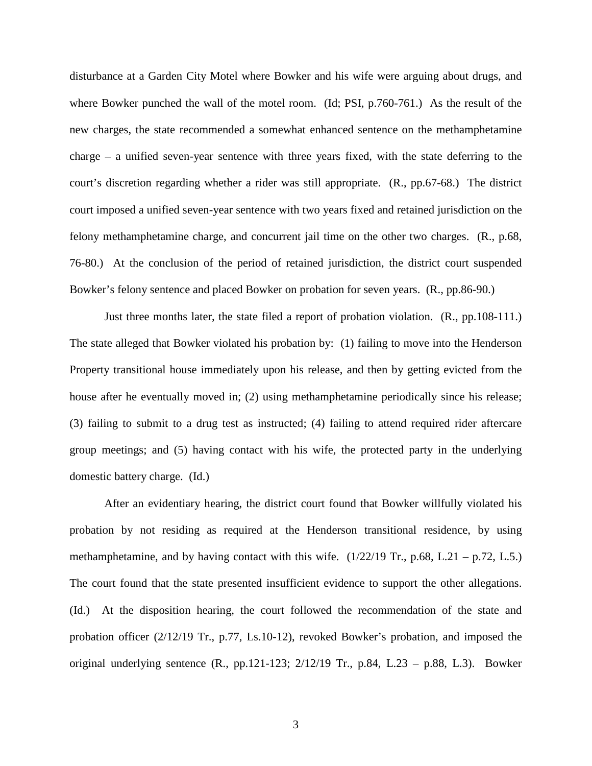disturbance at a Garden City Motel where Bowker and his wife were arguing about drugs, and where Bowker punched the wall of the motel room. (Id; PSI, p.760-761.) As the result of the new charges, the state recommended a somewhat enhanced sentence on the methamphetamine charge – a unified seven-year sentence with three years fixed, with the state deferring to the court's discretion regarding whether a rider was still appropriate. (R., pp.67-68.) The district court imposed a unified seven-year sentence with two years fixed and retained jurisdiction on the felony methamphetamine charge, and concurrent jail time on the other two charges. (R., p.68, 76-80.) At the conclusion of the period of retained jurisdiction, the district court suspended Bowker's felony sentence and placed Bowker on probation for seven years. (R., pp.86-90.)

Just three months later, the state filed a report of probation violation. (R., pp.108-111.) The state alleged that Bowker violated his probation by: (1) failing to move into the Henderson Property transitional house immediately upon his release, and then by getting evicted from the house after he eventually moved in; (2) using methamphetamine periodically since his release; (3) failing to submit to a drug test as instructed; (4) failing to attend required rider aftercare group meetings; and (5) having contact with his wife, the protected party in the underlying domestic battery charge. (Id.)

After an evidentiary hearing, the district court found that Bowker willfully violated his probation by not residing as required at the Henderson transitional residence, by using methamphetamine, and by having contact with this wife.  $(1/22/19 \text{ Tr}$ , p.68, L.21 – p.72, L.5.) The court found that the state presented insufficient evidence to support the other allegations. (Id.) At the disposition hearing, the court followed the recommendation of the state and probation officer (2/12/19 Tr., p.77, Ls.10-12), revoked Bowker's probation, and imposed the original underlying sentence (R., pp.121-123; 2/12/19 Tr., p.84, L.23 – p.88, L.3). Bowker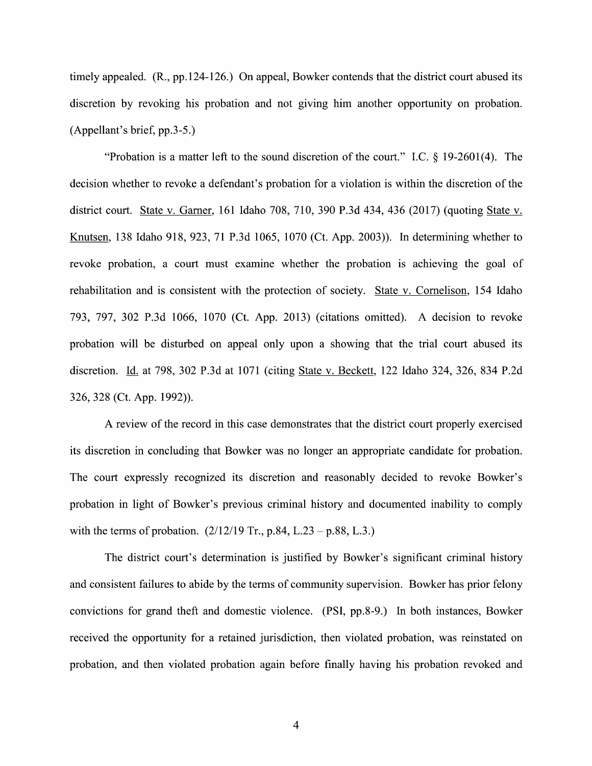timely appealed. (R., pp. 124-126.) On appeal, Bowker contends that the district court abused its discretion by revoking his probation and not giving him another opportunity on probation. (Appellant's brief, pp.3-5.)

"Probation is a matter left to the sound discretion of the court." I.C.  $\S$  19-2601(4). The decision whether to revoke a defendant's probation for a violation is within the discretion of the district court. State v. Garner, 161 Idaho 708, 710, 390 P.3d 434, 436 (2017) (quoting State v.<br>Knutsen, 138 Idaho 918, 923, 71 P.3d 1065, 1070 (Ct. App. 2003)). In determining whether to revoke probation, a court must examine Whether the probation is achieving the goal 0f rehabilitation and is consistent with the protection of society. State v. Cornelison, 154 Idaho 793, 797, 302 P.3d 1066, 1070 (Ct. App. 2013) (citations omitted). A decision to revoke probation will be disturbed on appeal only upon a showing that the trial court abused its discretion. Id. at 798, 302 P.3d at 1071 (citing State v. Beckett, 122 Idaho 324, 326, 834 P.2d 326, 328 (Ct. App. 1992)).

A review of the record in this case demonstrates that the district court properly exercised its discretion in concluding that Bowker was n0 longer an appropriate candidate for probation. The court expressly recognized its discretion and reasonably decided to revoke Bowker's probation in light of Bowker's previous criminal history and documented inability to comply with the terms of probation.  $(2/12/19 \text{ Tr}, p.84, L.23 - p.88, L.3.)$ 

The district court's determination is justified by Bowker's significant criminal history and consistent failures to abide by the terms of community supervision. Bowker has prior felony convictions for grand theft and domestic Violence. (PSI, pp.8-9.) In both instances, Bowker received the opportunity for a retained jurisdiction, then violated probation, was reinstated on probation, and then violated probation again before finally having his probation revoked and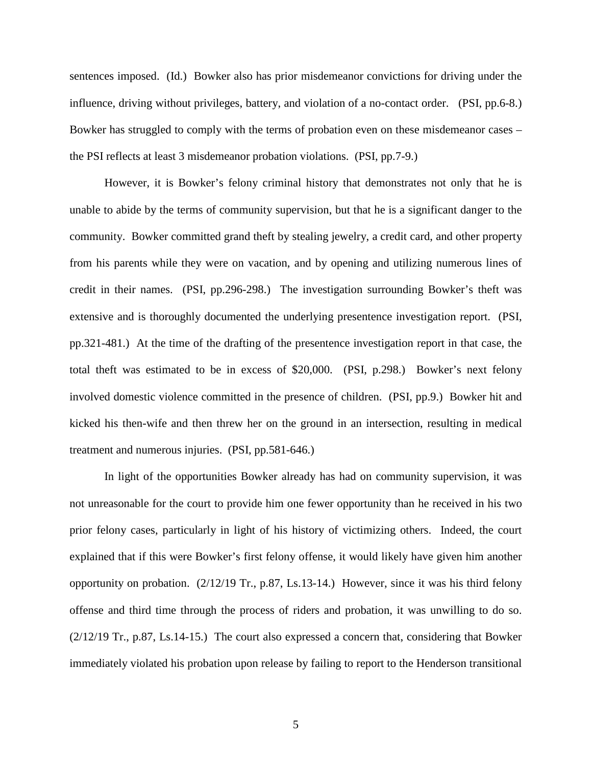sentences imposed. (Id.) Bowker also has prior misdemeanor convictions for driving under the influence, driving without privileges, battery, and violation of a no-contact order. (PSI, pp.6-8.) Bowker has struggled to comply with the terms of probation even on these misdemeanor cases – the PSI reflects at least 3 misdemeanor probation violations. (PSI, pp.7-9.)

However, it is Bowker's felony criminal history that demonstrates not only that he is unable to abide by the terms of community supervision, but that he is a significant danger to the community. Bowker committed grand theft by stealing jewelry, a credit card, and other property from his parents while they were on vacation, and by opening and utilizing numerous lines of credit in their names. (PSI, pp.296-298.) The investigation surrounding Bowker's theft was extensive and is thoroughly documented the underlying presentence investigation report. (PSI, pp.321-481.) At the time of the drafting of the presentence investigation report in that case, the total theft was estimated to be in excess of \$20,000. (PSI, p.298.) Bowker's next felony involved domestic violence committed in the presence of children. (PSI, pp.9.) Bowker hit and kicked his then-wife and then threw her on the ground in an intersection, resulting in medical treatment and numerous injuries. (PSI, pp.581-646.)

In light of the opportunities Bowker already has had on community supervision, it was not unreasonable for the court to provide him one fewer opportunity than he received in his two prior felony cases, particularly in light of his history of victimizing others. Indeed, the court explained that if this were Bowker's first felony offense, it would likely have given him another opportunity on probation. (2/12/19 Tr., p.87, Ls.13-14.) However, since it was his third felony offense and third time through the process of riders and probation, it was unwilling to do so. (2/12/19 Tr., p.87, Ls.14-15.) The court also expressed a concern that, considering that Bowker immediately violated his probation upon release by failing to report to the Henderson transitional